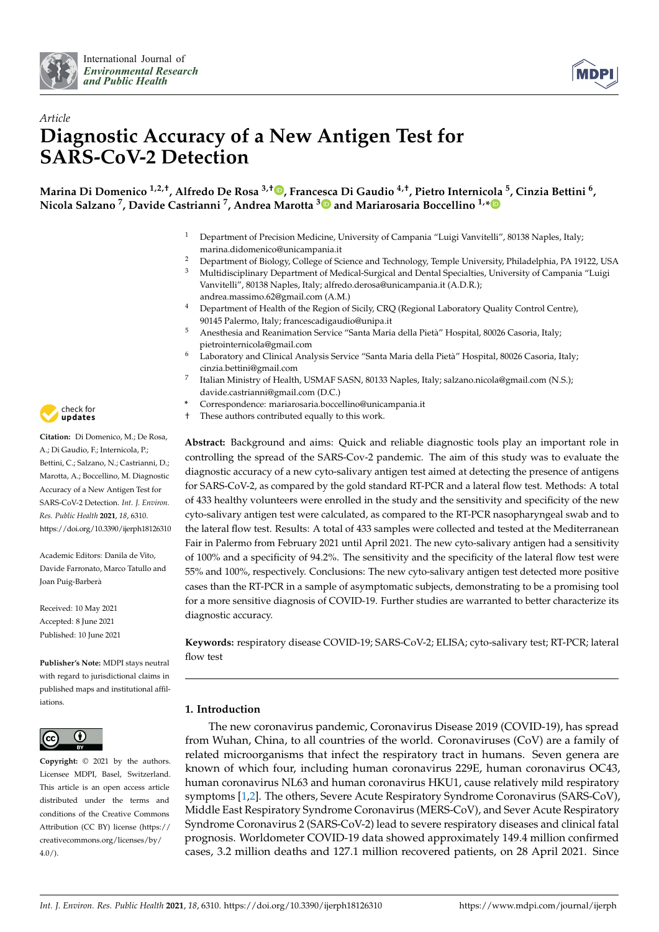



# *Article* **Diagnostic Accuracy of a New Antigen Test for SARS-CoV-2 Detection**

**Marina Di Domenico 1,2,†, Alfredo De Rosa 3,† [,](https://orcid.org/0000-0002-5044-4318) Francesca Di Gaudio 4,†, Pietro Internicola <sup>5</sup> , Cinzia Bettini <sup>6</sup> , Nicola Salzano <sup>7</sup> , Davide Castrianni <sup>7</sup> , Andrea Marotta [3](https://orcid.org/0000-0003-3629-5720) and Mariarosaria Boccellino 1,[\\*](https://orcid.org/0000-0001-6989-010X)**

- <sup>1</sup> Department of Precision Medicine, University of Campania "Luigi Vanvitelli", 80138 Naples, Italy; marina.didomenico@unicampania.it
- <sup>2</sup> Department of Biology, College of Science and Technology, Temple University, Philadelphia, PA 19122, USA<br><sup>3</sup> Multidisciplinary Department of Medical Surgical and Deptal Specialties, University of Campania "Luigi
- <sup>3</sup> Multidisciplinary Department of Medical-Surgical and Dental Specialties, University of Campania "Luigi Vanvitelli", 80138 Naples, Italy; alfredo.derosa@unicampania.it (A.D.R.); andrea.massimo.62@gmail.com (A.M.)
- Department of Health of the Region of Sicily, CRQ (Regional Laboratory Quality Control Centre), 90145 Palermo, Italy; francescadigaudio@unipa.it
- <sup>5</sup> Anesthesia and Reanimation Service "Santa Maria della Pietà" Hospital, 80026 Casoria, Italy; pietrointernicola@gmail.com
- <sup>6</sup> Laboratory and Clinical Analysis Service "Santa Maria della Pietà" Hospital, 80026 Casoria, Italy; cinzia.bettini@gmail.com
- 7 Italian Ministry of Health, USMAF SASN, 80133 Naples, Italy; salzano.nicola@gmail.com (N.S.); davide.castrianni@gmail.com (D.C.)
- **\*** Correspondence: mariarosaria.boccellino@unicampania.it
- † These authors contributed equally to this work.

**Abstract:** Background and aims: Quick and reliable diagnostic tools play an important role in controlling the spread of the SARS-Cov-2 pandemic. The aim of this study was to evaluate the diagnostic accuracy of a new cyto-salivary antigen test aimed at detecting the presence of antigens for SARS-CoV-2, as compared by the gold standard RT-PCR and a lateral flow test. Methods: A total of 433 healthy volunteers were enrolled in the study and the sensitivity and specificity of the new cyto-salivary antigen test were calculated, as compared to the RT-PCR nasopharyngeal swab and to the lateral flow test. Results: A total of 433 samples were collected and tested at the Mediterranean Fair in Palermo from February 2021 until April 2021. The new cyto-salivary antigen had a sensitivity of 100% and a specificity of 94.2%. The sensitivity and the specificity of the lateral flow test were 55% and 100%, respectively. Conclusions: The new cyto-salivary antigen test detected more positive cases than the RT-PCR in a sample of asymptomatic subjects, demonstrating to be a promising tool for a more sensitive diagnosis of COVID-19. Further studies are warranted to better characterize its diagnostic accuracy.

**Keywords:** respiratory disease COVID-19; SARS-CoV-2; ELISA; cyto-salivary test; RT-PCR; lateral flow test

# **1. Introduction**

The new coronavirus pandemic, Coronavirus Disease 2019 (COVID-19), has spread from Wuhan, China, to all countries of the world. Coronaviruses (CoV) are a family of related microorganisms that infect the respiratory tract in humans. Seven genera are known of which four, including human coronavirus 229E, human coronavirus OC43, human coronavirus NL63 and human coronavirus HKU1, cause relatively mild respiratory symptoms [\[1,](#page-7-0)[2\]](#page-7-1). The others, Severe Acute Respiratory Syndrome Coronavirus (SARS-CoV), Middle East Respiratory Syndrome Coronavirus (MERS-CoV), and Sever Acute Respiratory Syndrome Coronavirus 2 (SARS-CoV-2) lead to severe respiratory diseases and clinical fatal prognosis. Worldometer COVID-19 data showed approximately 149.4 million confirmed cases, 3.2 million deaths and 127.1 million recovered patients, on 28 April 2021. Since



**Citation:** Di Domenico, M.; De Rosa, A.; Di Gaudio, F.; Internicola, P.; Bettini, C.; Salzano, N.; Castrianni, D.; Marotta, A.; Boccellino, M. Diagnostic Accuracy of a New Antigen Test for SARS-CoV-2 Detection. *Int. J. Environ. Res. Public Health* **2021**, *18*, 6310. <https://doi.org/10.3390/ijerph18126310>

Academic Editors: Danila de Vito, Davide Farronato, Marco Tatullo and Joan Puig-Barberà

Received: 10 May 2021 Accepted: 8 June 2021 Published: 10 June 2021

**Publisher's Note:** MDPI stays neutral with regard to jurisdictional claims in published maps and institutional affiliations.



**Copyright:** © 2021 by the authors. Licensee MDPI, Basel, Switzerland. This article is an open access article distributed under the terms and conditions of the Creative Commons Attribution (CC BY) license (https:/[/](https://creativecommons.org/licenses/by/4.0/) [creativecommons.org/licenses/by/](https://creativecommons.org/licenses/by/4.0/) 4.0/).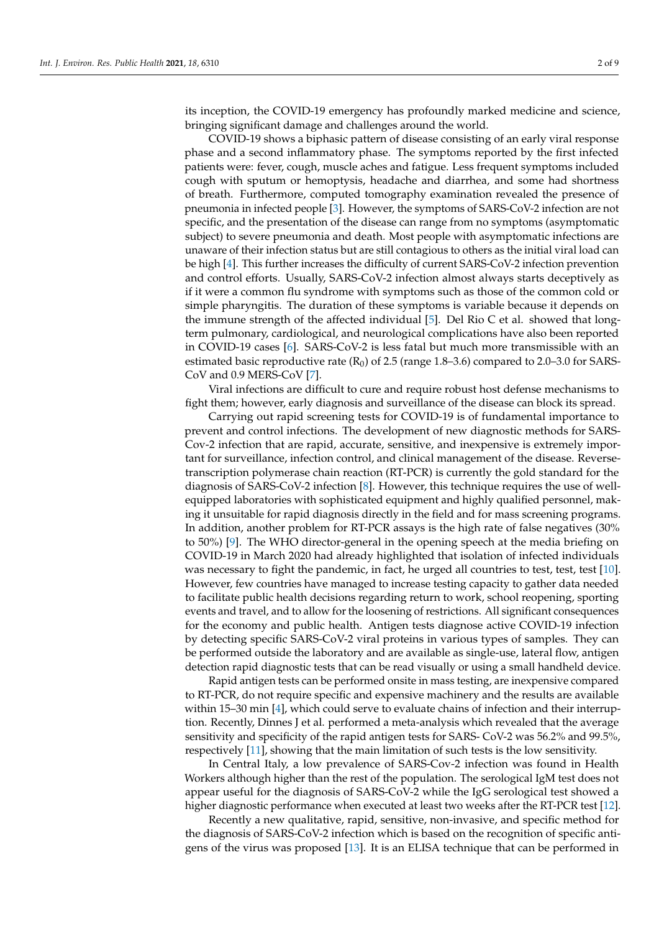its inception, the COVID-19 emergency has profoundly marked medicine and science, bringing significant damage and challenges around the world.

COVID-19 shows a biphasic pattern of disease consisting of an early viral response phase and a second inflammatory phase. The symptoms reported by the first infected patients were: fever, cough, muscle aches and fatigue. Less frequent symptoms included cough with sputum or hemoptysis, headache and diarrhea, and some had shortness of breath. Furthermore, computed tomography examination revealed the presence of pneumonia in infected people [\[3\]](#page-7-2). However, the symptoms of SARS-CoV-2 infection are not specific, and the presentation of the disease can range from no symptoms (asymptomatic subject) to severe pneumonia and death. Most people with asymptomatic infections are unaware of their infection status but are still contagious to others as the initial viral load can be high [\[4\]](#page-7-3). This further increases the difficulty of current SARS-CoV-2 infection prevention and control efforts. Usually, SARS-CoV-2 infection almost always starts deceptively as if it were a common flu syndrome with symptoms such as those of the common cold or simple pharyngitis. The duration of these symptoms is variable because it depends on the immune strength of the affected individual [\[5\]](#page-7-4). Del Rio C et al. showed that longterm pulmonary, cardiological, and neurological complications have also been reported in COVID-19 cases [\[6\]](#page-7-5). SARS-CoV-2 is less fatal but much more transmissible with an estimated basic reproductive rate  $(R_0)$  of 2.5 (range 1.8–3.6) compared to 2.0–3.0 for SARS-CoV and 0.9 MERS-CoV [\[7\]](#page-7-6).

Viral infections are difficult to cure and require robust host defense mechanisms to fight them; however, early diagnosis and surveillance of the disease can block its spread.

Carrying out rapid screening tests for COVID-19 is of fundamental importance to prevent and control infections. The development of new diagnostic methods for SARS-Cov-2 infection that are rapid, accurate, sensitive, and inexpensive is extremely important for surveillance, infection control, and clinical management of the disease. Reversetranscription polymerase chain reaction (RT-PCR) is currently the gold standard for the diagnosis of SARS-CoV-2 infection [\[8\]](#page-7-7). However, this technique requires the use of wellequipped laboratories with sophisticated equipment and highly qualified personnel, making it unsuitable for rapid diagnosis directly in the field and for mass screening programs. In addition, another problem for RT-PCR assays is the high rate of false negatives (30% to 50%) [\[9\]](#page-7-8). The WHO director-general in the opening speech at the media briefing on COVID-19 in March 2020 had already highlighted that isolation of infected individuals was necessary to fight the pandemic, in fact, he urged all countries to test, test, test [\[10\]](#page-7-9). However, few countries have managed to increase testing capacity to gather data needed to facilitate public health decisions regarding return to work, school reopening, sporting events and travel, and to allow for the loosening of restrictions. All significant consequences for the economy and public health. Antigen tests diagnose active COVID-19 infection by detecting specific SARS-CoV-2 viral proteins in various types of samples. They can be performed outside the laboratory and are available as single-use, lateral flow, antigen detection rapid diagnostic tests that can be read visually or using a small handheld device.

Rapid antigen tests can be performed onsite in mass testing, are inexpensive compared to RT-PCR, do not require specific and expensive machinery and the results are available within 15–30 min [\[4\]](#page-7-3), which could serve to evaluate chains of infection and their interruption. Recently, Dinnes J et al. performed a meta-analysis which revealed that the average sensitivity and specificity of the rapid antigen tests for SARS- CoV-2 was 56.2% and 99.5%, respectively [\[11\]](#page-7-10), showing that the main limitation of such tests is the low sensitivity.

In Central Italy, a low prevalence of SARS-Cov-2 infection was found in Health Workers although higher than the rest of the population. The serological IgM test does not appear useful for the diagnosis of SARS-CoV-2 while the IgG serological test showed a higher diagnostic performance when executed at least two weeks after the RT-PCR test [\[12\]](#page-7-11).

Recently a new qualitative, rapid, sensitive, non-invasive, and specific method for the diagnosis of SARS-CoV-2 infection which is based on the recognition of specific antigens of the virus was proposed [\[13\]](#page-7-12). It is an ELISA technique that can be performed in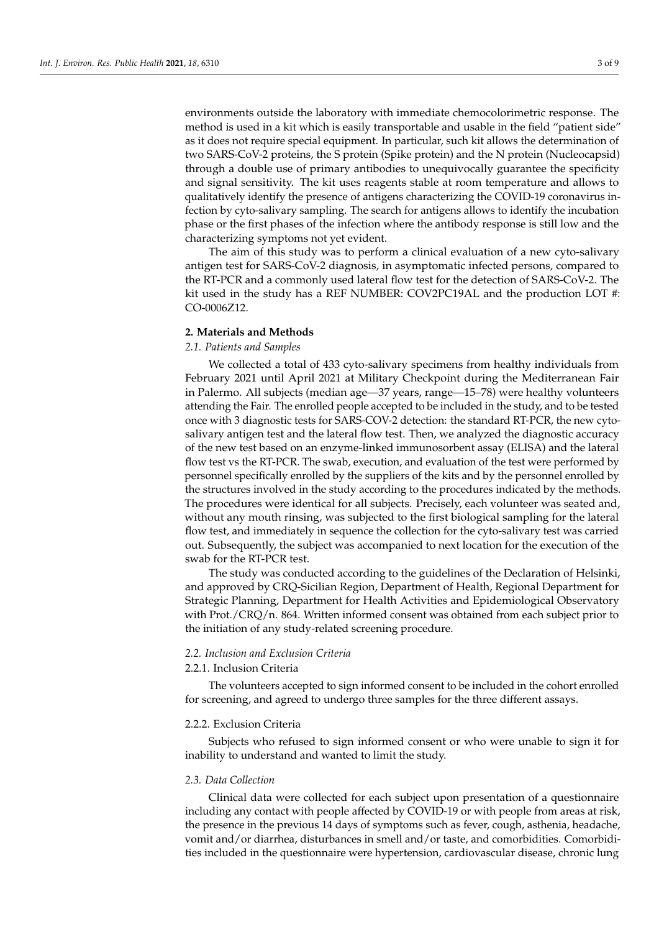environments outside the laboratory with immediate chemocolorimetric response. The method is used in a kit which is easily transportable and usable in the field "patient side" as it does not require special equipment. In particular, such kit allows the determination of two SARS-CoV-2 proteins, the S protein (Spike protein) and the N protein (Nucleocapsid) through a double use of primary antibodies to unequivocally guarantee the specificity and signal sensitivity. The kit uses reagents stable at room temperature and allows to qualitatively identify the presence of antigens characterizing the COVID-19 coronavirus infection by cyto-salivary sampling. The search for antigens allows to identify the incubation phase or the first phases of the infection where the antibody response is still low and the characterizing symptoms not yet evident.

The aim of this study was to perform a clinical evaluation of a new cyto-salivary antigen test for SARS-CoV-2 diagnosis, in asymptomatic infected persons, compared to the RT-PCR and a commonly used lateral flow test for the detection of SARS-CoV-2. The kit used in the study has a REF NUMBER: COV2PC19AL and the production LOT #: CO-0006Z12.

# **2. Materials and Methods**

# *2.1. Patients and Samples*

We collected a total of 433 cyto-salivary specimens from healthy individuals from February 2021 until April 2021 at Military Checkpoint during the Mediterranean Fair in Palermo. All subjects (median age—37 years, range—15–78) were healthy volunteers attending the Fair. The enrolled people accepted to be included in the study, and to be tested once with 3 diagnostic tests for SARS-COV-2 detection: the standard RT-PCR, the new cytosalivary antigen test and the lateral flow test. Then, we analyzed the diagnostic accuracy of the new test based on an enzyme-linked immunosorbent assay (ELISA) and the lateral flow test vs the RT-PCR. The swab, execution, and evaluation of the test were performed by personnel specifically enrolled by the suppliers of the kits and by the personnel enrolled by the structures involved in the study according to the procedures indicated by the methods. The procedures were identical for all subjects. Precisely, each volunteer was seated and, without any mouth rinsing, was subjected to the first biological sampling for the lateral flow test, and immediately in sequence the collection for the cyto-salivary test was carried out. Subsequently, the subject was accompanied to next location for the execution of the swab for the RT-PCR test.

The study was conducted according to the guidelines of the Declaration of Helsinki, and approved by CRQ-Sicilian Region, Department of Health, Regional Department for Strategic Planning, Department for Health Activities and Epidemiological Observatory with Prot./CRQ/n. 864. Written informed consent was obtained from each subject prior to the initiation of any study-related screening procedure.

## *2.2. Inclusion and Exclusion Criteria*

#### 2.2.1. Inclusion Criteria

The volunteers accepted to sign informed consent to be included in the cohort enrolled for screening, and agreed to undergo three samples for the three different assays.

#### 2.2.2. Exclusion Criteria

Subjects who refused to sign informed consent or who were unable to sign it for inability to understand and wanted to limit the study.

## *2.3. Data Collection*

Clinical data were collected for each subject upon presentation of a questionnaire including any contact with people affected by COVID-19 or with people from areas at risk, the presence in the previous 14 days of symptoms such as fever, cough, asthenia, headache, vomit and/or diarrhea, disturbances in smell and/or taste, and comorbidities. Comorbidities included in the questionnaire were hypertension, cardiovascular disease, chronic lung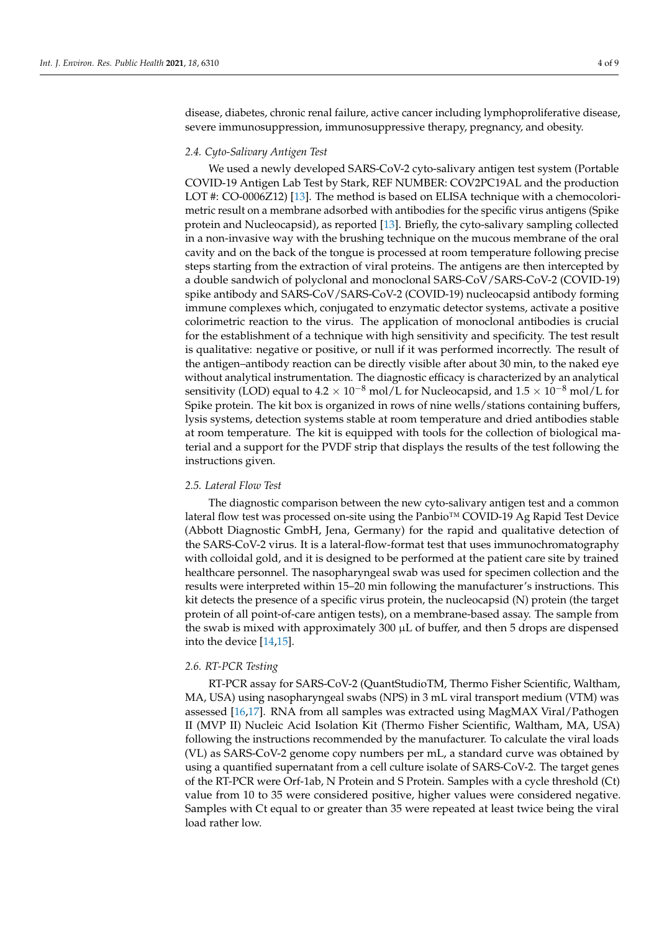disease, diabetes, chronic renal failure, active cancer including lymphoproliferative disease, severe immunosuppression, immunosuppressive therapy, pregnancy, and obesity.

#### *2.4. Cyto-Salivary Antigen Test*

We used a newly developed SARS-CoV-2 cyto-salivary antigen test system (Portable COVID-19 Antigen Lab Test by Stark, REF NUMBER: COV2PC19AL and the production LOT #: CO-0006Z12) [\[13\]](#page-7-12). The method is based on ELISA technique with a chemocolorimetric result on a membrane adsorbed with antibodies for the specific virus antigens (Spike protein and Nucleocapsid), as reported [\[13\]](#page-7-12). Briefly, the cyto-salivary sampling collected in a non-invasive way with the brushing technique on the mucous membrane of the oral cavity and on the back of the tongue is processed at room temperature following precise steps starting from the extraction of viral proteins. The antigens are then intercepted by a double sandwich of polyclonal and monoclonal SARS-CoV/SARS-CoV-2 (COVID-19) spike antibody and SARS-CoV/SARS-CoV-2 (COVID-19) nucleocapsid antibody forming immune complexes which, conjugated to enzymatic detector systems, activate a positive colorimetric reaction to the virus. The application of monoclonal antibodies is crucial for the establishment of a technique with high sensitivity and specificity. The test result is qualitative: negative or positive, or null if it was performed incorrectly. The result of the antigen–antibody reaction can be directly visible after about 30 min, to the naked eye without analytical instrumentation. The diagnostic efficacy is characterized by an analytical sensitivity (LOD) equal to  $4.2 \times 10^{-8}$  mol/L for Nucleocapsid, and  $1.5 \times 10^{-8}$  mol/L for Spike protein. The kit box is organized in rows of nine wells/stations containing buffers, lysis systems, detection systems stable at room temperature and dried antibodies stable at room temperature. The kit is equipped with tools for the collection of biological material and a support for the PVDF strip that displays the results of the test following the instructions given.

#### *2.5. Lateral Flow Test*

The diagnostic comparison between the new cyto-salivary antigen test and a common lateral flow test was processed on-site using the Panbio™ COVID-19 Ag Rapid Test Device (Abbott Diagnostic GmbH, Jena, Germany) for the rapid and qualitative detection of the SARS-CoV-2 virus. It is a lateral-flow-format test that uses immunochromatography with colloidal gold, and it is designed to be performed at the patient care site by trained healthcare personnel. The nasopharyngeal swab was used for specimen collection and the results were interpreted within 15–20 min following the manufacturer's instructions. This kit detects the presence of a specific virus protein, the nucleocapsid (N) protein (the target protein of all point-of-care antigen tests), on a membrane-based assay. The sample from the swab is mixed with approximately 300 µL of buffer, and then 5 drops are dispensed into the device [\[14](#page-7-13)[,15\]](#page-8-0).

#### *2.6. RT-PCR Testing*

RT-PCR assay for SARS-CoV-2 (QuantStudioTM, Thermo Fisher Scientific, Waltham, MA, USA) using nasopharyngeal swabs (NPS) in 3 mL viral transport medium (VTM) was assessed [\[16](#page-8-1)[,17\]](#page-8-2). RNA from all samples was extracted using MagMAX Viral/Pathogen II (MVP II) Nucleic Acid Isolation Kit (Thermo Fisher Scientific, Waltham, MA, USA) following the instructions recommended by the manufacturer. To calculate the viral loads (VL) as SARS-CoV-2 genome copy numbers per mL, a standard curve was obtained by using a quantified supernatant from a cell culture isolate of SARS-CoV-2. The target genes of the RT-PCR were Orf-1ab, N Protein and S Protein. Samples with a cycle threshold (Ct) value from 10 to 35 were considered positive, higher values were considered negative. Samples with Ct equal to or greater than 35 were repeated at least twice being the viral load rather low.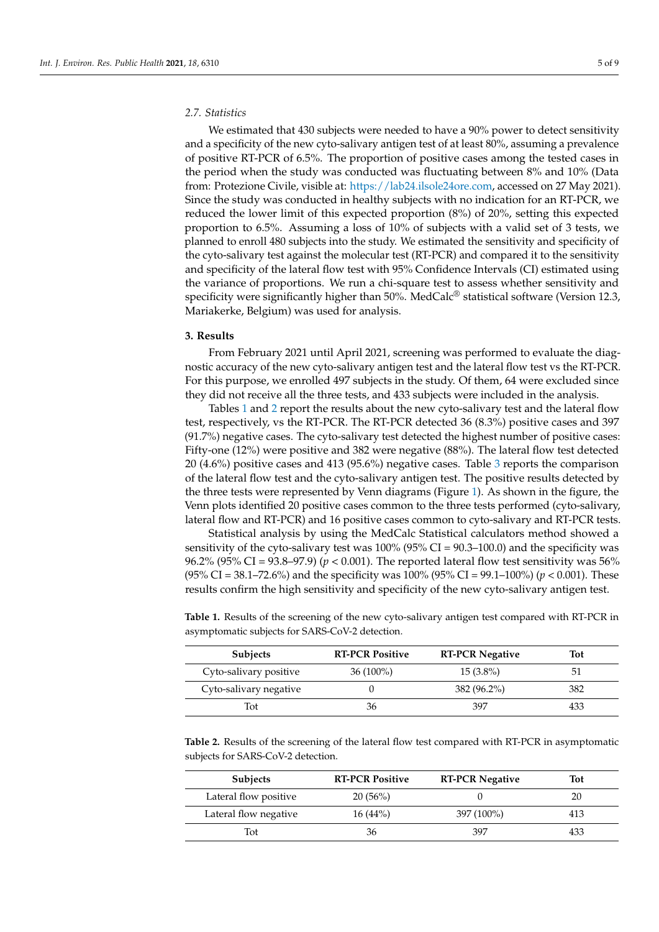# *2.7. Statistics*

We estimated that 430 subjects were needed to have a 90% power to detect sensitivity and a specificity of the new cyto-salivary antigen test of at least 80%, assuming a prevalence of positive RT-PCR of 6.5%. The proportion of positive cases among the tested cases in the period when the study was conducted was fluctuating between 8% and 10% (Data from: Protezione Civile, visible at: [https://lab24.ilsole24ore.com,](https://lab24.ilsole24ore.com) accessed on 27 May 2021). Since the study was conducted in healthy subjects with no indication for an RT-PCR, we reduced the lower limit of this expected proportion (8%) of 20%, setting this expected proportion to 6.5%. Assuming a loss of 10% of subjects with a valid set of 3 tests, we planned to enroll 480 subjects into the study. We estimated the sensitivity and specificity of the cyto-salivary test against the molecular test (RT-PCR) and compared it to the sensitivity and specificity of the lateral flow test with 95% Confidence Intervals (CI) estimated using the variance of proportions. We run a chi-square test to assess whether sensitivity and specificity were significantly higher than 50%. MedCalc<sup>®</sup> statistical software (Version 12.3, Mariakerke, Belgium) was used for analysis.

#### **3. Results**

From February 2021 until April 2021, screening was performed to evaluate the diagnostic accuracy of the new cyto-salivary antigen test and the lateral flow test vs the RT-PCR. For this purpose, we enrolled 497 subjects in the study. Of them, 64 were excluded since they did not receive all the three tests, and 433 subjects were included in the analysis.

Tables [1](#page-4-0) and [2](#page-4-1) report the results about the new cyto-salivary test and the lateral flow test, respectively, vs the RT-PCR. The RT-PCR detected 36 (8.3%) positive cases and 397 (91.7%) negative cases. The cyto-salivary test detected the highest number of positive cases: Fifty-one (12%) were positive and 382 were negative (88%). The lateral flow test detected 20 (4.6%) positive cases and 413 (95.6%) negative cases. Table [3](#page-5-0) reports the comparison of the lateral flow test and the cyto-salivary antigen test. The positive results detected by the three tests were represented by Venn diagrams (Figure [1\)](#page-5-1). As shown in the figure, the Venn plots identified 20 positive cases common to the three tests performed (cyto-salivary, lateral flow and RT-PCR) and 16 positive cases common to cyto-salivary and RT-PCR tests.

Statistical analysis by using the MedCalc Statistical calculators method showed a sensitivity of the cyto-salivary test was 100% (95% CI = 90.3–100.0) and the specificity was 96.2% (95% CI = 93.8–97.9) (*p* < 0.001). The reported lateral flow test sensitivity was 56% (95% CI = 38.1–72.6%) and the specificity was 100% (95% CI = 99.1–100%) (*p* < 0.001). These results confirm the high sensitivity and specificity of the new cyto-salivary antigen test.

| <b>Subjects</b>        | <b>RT-PCR Positive</b> | <b>RT-PCR Negative</b> | Tot |
|------------------------|------------------------|------------------------|-----|
| Cyto-salivary positive | $36(100\%)$            | $15(3.8\%)$            | 51  |
| Cyto-salivary negative |                        | 382 (96.2%)            | 382 |
| Tot                    | 36                     | 397                    | 433 |

<span id="page-4-0"></span>**Table 1.** Results of the screening of the new cyto-salivary antigen test compared with RT-PCR in asymptomatic subjects for SARS-CoV-2 detection.

<span id="page-4-1"></span>**Table 2.** Results of the screening of the lateral flow test compared with RT-PCR in asymptomatic subjects for SARS-CoV-2 detection.

| <b>Subjects</b>       | <b>RT-PCR Positive</b> | <b>RT-PCR Negative</b> | Tot |
|-----------------------|------------------------|------------------------|-----|
| Lateral flow positive | 20(56%)                |                        | 20  |
| Lateral flow negative | $16(44\%)$             | 397 (100%)             | 413 |
| Tot                   | 36                     | 397                    | 433 |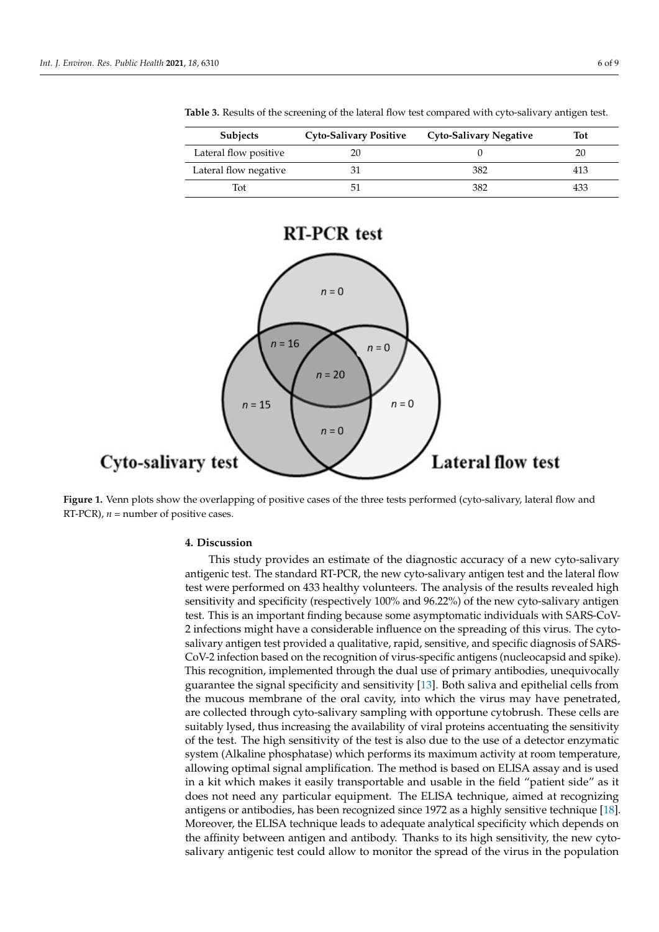| <b>Subjects</b>       | <b>Cyto-Salivary Positive</b> | Cyto-Salivary Negative | <b>Tot</b> |
|-----------------------|-------------------------------|------------------------|------------|
| Lateral flow positive |                               |                        | 20         |
| Lateral flow negative |                               | 382                    | 413        |
| Tot                   |                               | 382                    | 433        |

<span id="page-5-0"></span>**Table 3.** Results of the screening of the lateral flow test compared with cyto-salivary antigen test.



<span id="page-5-1"></span>

**Figure 1.** Venn plots show the overlapping of positive cases of the three tests performed (cyto-salivary, lateral flow and RT-PCR),  $n =$  number of positive cases.

#### **4. Discussion**

This study provides an estimate of the diagnostic accuracy of a new cyto-salivary antigenic test. The standard RT-PCR, the new cyto-salivary antigen test and the lateral flow test were performed on 433 healthy volunteers. The analysis of the results revealed high sensitivity and specificity (respectively 100% and 96.22%) of the new cyto-salivary antigen test. This is an important finding because some asymptomatic individuals with SARS-CoV-2 infections might have a considerable influence on the spreading of this virus. The cytosalivary antigen test provided a qualitative, rapid, sensitive, and specific diagnosis of SARS-CoV-2 infection based on the recognition of virus-specific antigens (nucleocapsid and spike). This recognition, implemented through the dual use of primary antibodies, unequivocally guarantee the signal specificity and sensitivity [\[13\]](#page-7-12). Both saliva and epithelial cells from the mucous membrane of the oral cavity, into which the virus may have penetrated, are collected through cyto-salivary sampling with opportune cytobrush. These cells are suitably lysed, thus increasing the availability of viral proteins accentuating the sensitivity of the test. The high sensitivity of the test is also due to the use of a detector enzymatic system (Alkaline phosphatase) which performs its maximum activity at room temperature, allowing optimal signal amplification. The method is based on ELISA assay and is used in a kit which makes it easily transportable and usable in the field "patient side" as it does not need any particular equipment. The ELISA technique, aimed at recognizing antigens or antibodies, has been recognized since 1972 as a highly sensitive technique [\[18\]](#page-8-3). Moreover, the ELISA technique leads to adequate analytical specificity which depends on the affinity between antigen and antibody. Thanks to its high sensitivity, the new cytosalivary antigenic test could allow to monitor the spread of the virus in the population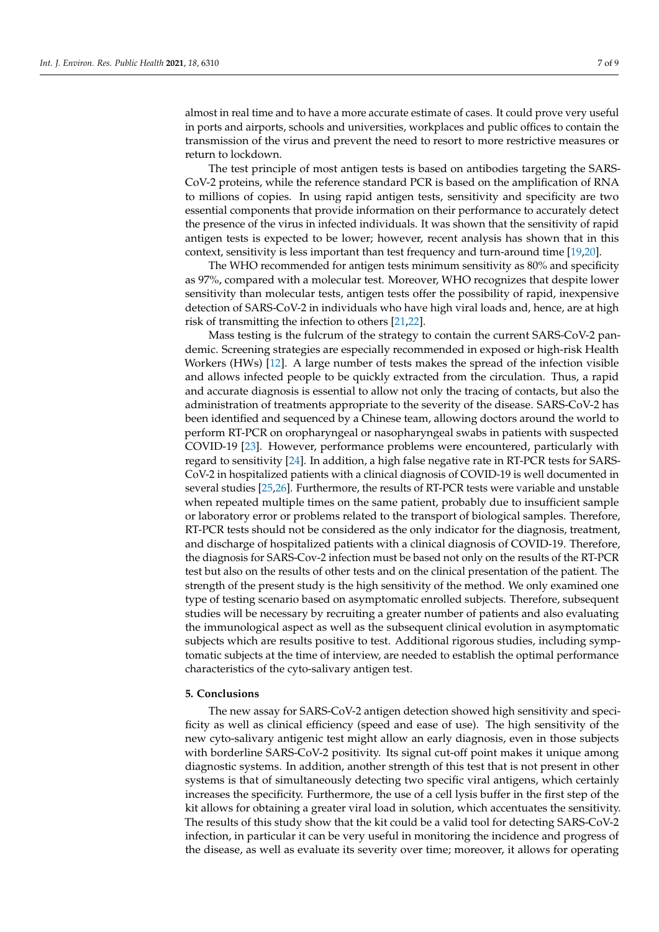almost in real time and to have a more accurate estimate of cases. It could prove very useful in ports and airports, schools and universities, workplaces and public offices to contain the transmission of the virus and prevent the need to resort to more restrictive measures or return to lockdown.

The test principle of most antigen tests is based on antibodies targeting the SARS-CoV-2 proteins, while the reference standard PCR is based on the amplification of RNA to millions of copies. In using rapid antigen tests, sensitivity and specificity are two essential components that provide information on their performance to accurately detect the presence of the virus in infected individuals. It was shown that the sensitivity of rapid antigen tests is expected to be lower; however, recent analysis has shown that in this context, sensitivity is less important than test frequency and turn-around time [\[19,](#page-8-4)[20\]](#page-8-5).

The WHO recommended for antigen tests minimum sensitivity as 80% and specificity as 97%, compared with a molecular test. Moreover, WHO recognizes that despite lower sensitivity than molecular tests, antigen tests offer the possibility of rapid, inexpensive detection of SARS-CoV-2 in individuals who have high viral loads and, hence, are at high risk of transmitting the infection to others [\[21](#page-8-6)[,22\]](#page-8-7).

Mass testing is the fulcrum of the strategy to contain the current SARS-CoV-2 pandemic. Screening strategies are especially recommended in exposed or high-risk Health Workers (HWs) [\[12\]](#page-7-11). A large number of tests makes the spread of the infection visible and allows infected people to be quickly extracted from the circulation. Thus, a rapid and accurate diagnosis is essential to allow not only the tracing of contacts, but also the administration of treatments appropriate to the severity of the disease. SARS-CoV-2 has been identified and sequenced by a Chinese team, allowing doctors around the world to perform RT-PCR on oropharyngeal or nasopharyngeal swabs in patients with suspected COVID-19 [\[23\]](#page-8-8). However, performance problems were encountered, particularly with regard to sensitivity [\[24\]](#page-8-9). In addition, a high false negative rate in RT-PCR tests for SARS-CoV-2 in hospitalized patients with a clinical diagnosis of COVID-19 is well documented in several studies [\[25,](#page-8-10)[26\]](#page-8-11). Furthermore, the results of RT-PCR tests were variable and unstable when repeated multiple times on the same patient, probably due to insufficient sample or laboratory error or problems related to the transport of biological samples. Therefore, RT-PCR tests should not be considered as the only indicator for the diagnosis, treatment, and discharge of hospitalized patients with a clinical diagnosis of COVID-19. Therefore, the diagnosis for SARS-Cov-2 infection must be based not only on the results of the RT-PCR test but also on the results of other tests and on the clinical presentation of the patient. The strength of the present study is the high sensitivity of the method. We only examined one type of testing scenario based on asymptomatic enrolled subjects. Therefore, subsequent studies will be necessary by recruiting a greater number of patients and also evaluating the immunological aspect as well as the subsequent clinical evolution in asymptomatic subjects which are results positive to test. Additional rigorous studies, including symptomatic subjects at the time of interview, are needed to establish the optimal performance characteristics of the cyto-salivary antigen test.

#### **5. Conclusions**

The new assay for SARS-CoV-2 antigen detection showed high sensitivity and specificity as well as clinical efficiency (speed and ease of use). The high sensitivity of the new cyto-salivary antigenic test might allow an early diagnosis, even in those subjects with borderline SARS-CoV-2 positivity. Its signal cut-off point makes it unique among diagnostic systems. In addition, another strength of this test that is not present in other systems is that of simultaneously detecting two specific viral antigens, which certainly increases the specificity. Furthermore, the use of a cell lysis buffer in the first step of the kit allows for obtaining a greater viral load in solution, which accentuates the sensitivity. The results of this study show that the kit could be a valid tool for detecting SARS-CoV-2 infection, in particular it can be very useful in monitoring the incidence and progress of the disease, as well as evaluate its severity over time; moreover, it allows for operating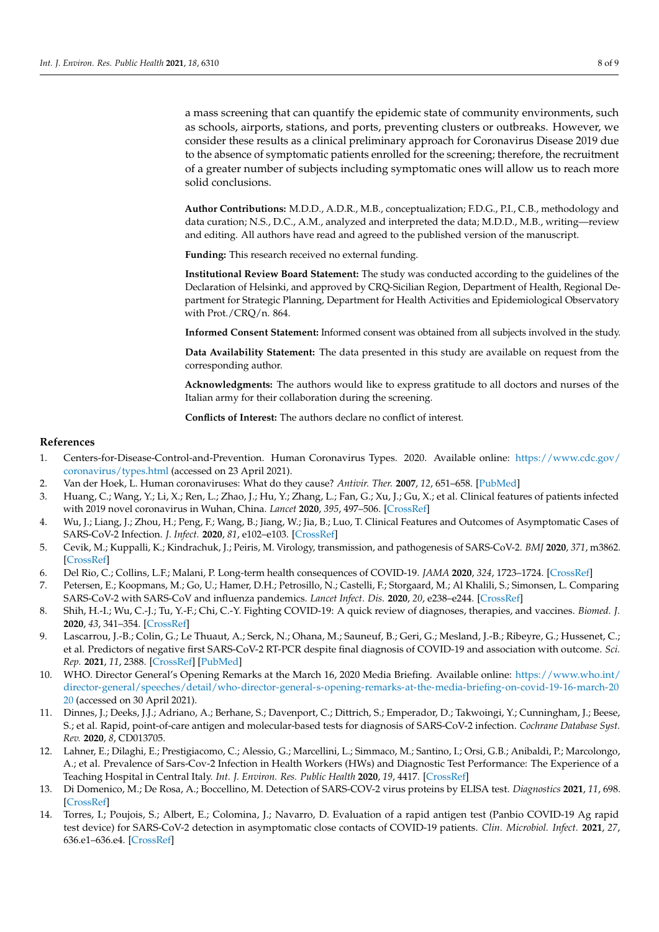a mass screening that can quantify the epidemic state of community environments, such as schools, airports, stations, and ports, preventing clusters or outbreaks. However, we consider these results as a clinical preliminary approach for Coronavirus Disease 2019 due to the absence of symptomatic patients enrolled for the screening; therefore, the recruitment of a greater number of subjects including symptomatic ones will allow us to reach more solid conclusions.

**Author Contributions:** M.D.D., A.D.R., M.B., conceptualization; F.D.G., P.I., C.B., methodology and data curation; N.S., D.C., A.M., analyzed and interpreted the data; M.D.D., M.B., writing—review and editing. All authors have read and agreed to the published version of the manuscript.

**Funding:** This research received no external funding.

**Institutional Review Board Statement:** The study was conducted according to the guidelines of the Declaration of Helsinki, and approved by CRQ-Sicilian Region, Department of Health, Regional Department for Strategic Planning, Department for Health Activities and Epidemiological Observatory with Prot./CRQ/n. 864.

**Informed Consent Statement:** Informed consent was obtained from all subjects involved in the study.

**Data Availability Statement:** The data presented in this study are available on request from the corresponding author.

**Acknowledgments:** The authors would like to express gratitude to all doctors and nurses of the Italian army for their collaboration during the screening.

**Conflicts of Interest:** The authors declare no conflict of interest.

#### **References**

- <span id="page-7-0"></span>1. Centers-for-Disease-Control-and-Prevention. Human Coronavirus Types. 2020. Available online: [https://www.cdc.gov/](https://www.cdc.gov/coronavirus/types.html) [coronavirus/types.html](https://www.cdc.gov/coronavirus/types.html) (accessed on 23 April 2021).
- <span id="page-7-1"></span>2. Van der Hoek, L. Human coronaviruses: What do they cause? *Antivir. Ther.* **2007**, *12*, 651–658. [\[PubMed\]](http://www.ncbi.nlm.nih.gov/pubmed/17944272)
- <span id="page-7-2"></span>3. Huang, C.; Wang, Y.; Li, X.; Ren, L.; Zhao, J.; Hu, Y.; Zhang, L.; Fan, G.; Xu, J.; Gu, X.; et al. Clinical features of patients infected with 2019 novel coronavirus in Wuhan, China. *Lancet* **2020**, *395*, 497–506. [\[CrossRef\]](http://doi.org/10.1016/S0140-6736(20)30183-5)
- <span id="page-7-3"></span>4. Wu, J.; Liang, J.; Zhou, H.; Peng, F.; Wang, B.; Jiang, W.; Jia, B.; Luo, T. Clinical Features and Outcomes of Asymptomatic Cases of SARS-CoV-2 Infection. *J. Infect.* **2020**, *81*, e102–e103. [\[CrossRef\]](http://doi.org/10.1016/j.jinf.2020.04.027)
- <span id="page-7-4"></span>5. Cevik, M.; Kuppalli, K.; Kindrachuk, J.; Peiris, M. Virology, transmission, and pathogenesis of SARS-CoV-2. *BMJ* **2020**, *371*, m3862. [\[CrossRef\]](http://doi.org/10.1136/bmj.m3862)
- <span id="page-7-5"></span>6. Del Rio, C.; Collins, L.F.; Malani, P. Long-term health consequences of COVID-19. *JAMA* **2020**, *324*, 1723–1724. [\[CrossRef\]](http://doi.org/10.1001/jama.2020.19719)
- <span id="page-7-6"></span>7. Petersen, E.; Koopmans, M.; Go, U.; Hamer, D.H.; Petrosillo, N.; Castelli, F.; Storgaard, M.; Al Khalili, S.; Simonsen, L. Comparing SARS-CoV-2 with SARS-CoV and influenza pandemics. *Lancet Infect. Dis.* **2020**, *20*, e238–e244. [\[CrossRef\]](http://doi.org/10.1016/S1473-3099(20)30484-9)
- <span id="page-7-7"></span>8. Shih, H.-I.; Wu, C.-J.; Tu, Y.-F.; Chi, C.-Y. Fighting COVID-19: A quick review of diagnoses, therapies, and vaccines. *Biomed. J.* **2020**, *43*, 341–354. [\[CrossRef\]](http://doi.org/10.1016/j.bj.2020.05.021)
- <span id="page-7-8"></span>9. Lascarrou, J.-B.; Colin, G.; Le Thuaut, A.; Serck, N.; Ohana, M.; Sauneuf, B.; Geri, G.; Mesland, J.-B.; Ribeyre, G.; Hussenet, C.; et al. Predictors of negative first SARS-CoV-2 RT-PCR despite final diagnosis of COVID-19 and association with outcome. *Sci. Rep.* **2021**, *11*, 2388. [\[CrossRef\]](http://doi.org/10.1038/s41598-021-82192-6) [\[PubMed\]](http://www.ncbi.nlm.nih.gov/pubmed/33504923)
- <span id="page-7-9"></span>10. WHO. Director General's Opening Remarks at the March 16, 2020 Media Briefing. Available online: [https://www.who.int/](https://www.who.int/director-general/speeches/detail/who-director-general-s-opening-remarks-at-the-media-briefing-on-covid-19-16-march-2020) [director-general/speeches/detail/who-director-general-s-opening-remarks-at-the-media-briefing-on-covid-19-16-march-20](https://www.who.int/director-general/speeches/detail/who-director-general-s-opening-remarks-at-the-media-briefing-on-covid-19-16-march-2020) [20](https://www.who.int/director-general/speeches/detail/who-director-general-s-opening-remarks-at-the-media-briefing-on-covid-19-16-march-2020) (accessed on 30 April 2021).
- <span id="page-7-10"></span>11. Dinnes, J.; Deeks, J.J.; Adriano, A.; Berhane, S.; Davenport, C.; Dittrich, S.; Emperador, D.; Takwoingi, Y.; Cunningham, J.; Beese, S.; et al. Rapid, point-of-care antigen and molecular-based tests for diagnosis of SARS-CoV-2 infection. *Cochrane Database Syst. Rev.* **2020**, *8*, CD013705.
- <span id="page-7-11"></span>12. Lahner, E.; Dilaghi, E.; Prestigiacomo, C.; Alessio, G.; Marcellini, L.; Simmaco, M.; Santino, I.; Orsi, G.B.; Anibaldi, P.; Marcolongo, A.; et al. Prevalence of Sars-Cov-2 Infection in Health Workers (HWs) and Diagnostic Test Performance: The Experience of a Teaching Hospital in Central Italy. *Int. J. Environ. Res. Public Health* **2020**, *19*, 4417. [\[CrossRef\]](http://doi.org/10.3390/ijerph17124417)
- <span id="page-7-12"></span>13. Di Domenico, M.; De Rosa, A.; Boccellino, M. Detection of SARS-COV-2 virus proteins by ELISA test. *Diagnostics* **2021**, *11*, 698. [\[CrossRef\]](http://doi.org/10.3390/diagnostics11040698)
- <span id="page-7-13"></span>14. Torres, I.; Poujois, S.; Albert, E.; Colomina, J.; Navarro, D. Evaluation of a rapid antigen test (Panbio COVID-19 Ag rapid test device) for SARS-CoV-2 detection in asymptomatic close contacts of COVID-19 patients. *Clin. Microbiol. Infect.* **2021**, *27*, 636.e1–636.e4. [\[CrossRef\]](http://doi.org/10.1016/j.cmi.2020.12.022)